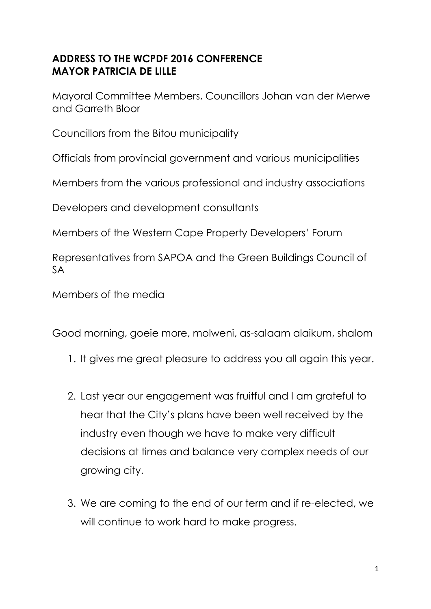## **ADDRESS TO THE WCPDF 2016 CONFERENCE MAYOR PATRICIA DE LILLE**

Mayoral Committee Members, Councillors Johan van der Merwe and Garreth Bloor

Councillors from the Bitou municipality

Officials from provincial government and various municipalities

Members from the various professional and industry associations

Developers and development consultants

Members of the Western Cape Property Developers' Forum

Representatives from SAPOA and the Green Buildings Council of SA

Members of the media

Good morning, goeie more, molweni, as-salaam alaikum, shalom

- 1. It gives me great pleasure to address you all again this year.
- 2. Last year our engagement was fruitful and I am grateful to hear that the City's plans have been well received by the industry even though we have to make very difficult decisions at times and balance very complex needs of our growing city.
- 3. We are coming to the end of our term and if re-elected, we will continue to work hard to make progress.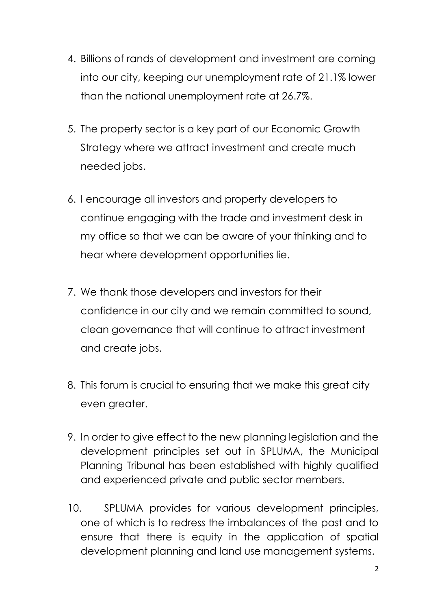- 4. Billions of rands of development and investment are coming into our city, keeping our unemployment rate of 21.1% lower than the national unemployment rate at 26.7%.
- 5. The property sector is a key part of our Economic Growth Strategy where we attract investment and create much needed jobs.
- 6. I encourage all investors and property developers to continue engaging with the trade and investment desk in my office so that we can be aware of your thinking and to hear where development opportunities lie.
- 7. We thank those developers and investors for their confidence in our city and we remain committed to sound, clean governance that will continue to attract investment and create jobs.
- 8. This forum is crucial to ensuring that we make this great city even greater.
- 9. In order to give effect to the new planning legislation and the development principles set out in SPLUMA, the Municipal Planning Tribunal has been established with highly qualified and experienced private and public sector members.
- 10. SPLUMA provides for various development principles, one of which is to redress the imbalances of the past and to ensure that there is equity in the application of spatial development planning and land use management systems.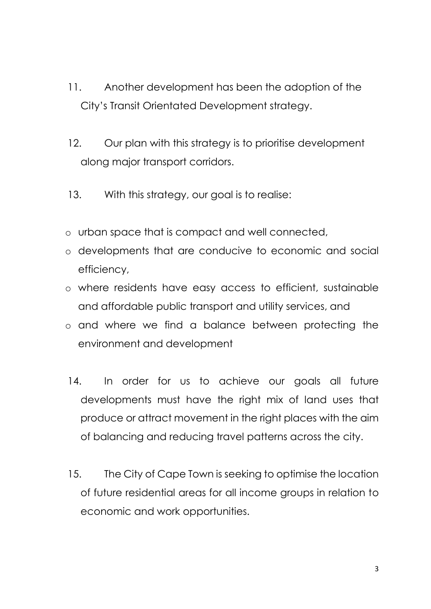- 11. Another development has been the adoption of the City's Transit Orientated Development strategy.
- 12. Our plan with this strategy is to prioritise development along major transport corridors.
- 13. With this strategy, our goal is to realise:
- o urban space that is compact and well connected,
- o developments that are conducive to economic and social efficiency,
- o where residents have easy access to efficient, sustainable and affordable public transport and utility services, and
- o and where we find a balance between protecting the environment and development
- 14. In order for us to achieve our goals all future developments must have the right mix of land uses that produce or attract movement in the right places with the aim of balancing and reducing travel patterns across the city.
- 15. The City of Cape Town is seeking to optimise the location of future residential areas for all income groups in relation to economic and work opportunities.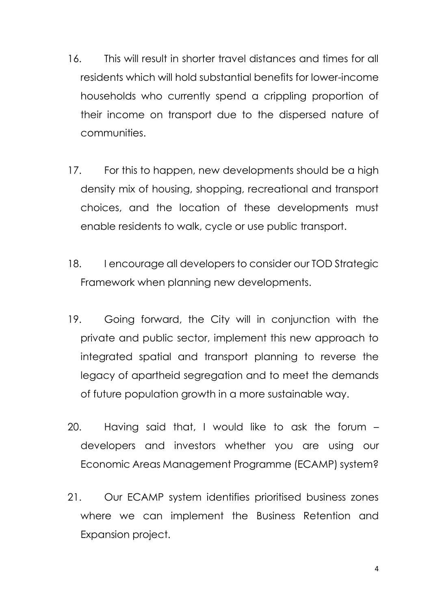- 16. This will result in shorter travel distances and times for all residents which will hold substantial benefits for lower-income households who currently spend a crippling proportion of their income on transport due to the dispersed nature of communities.
- 17. For this to happen, new developments should be a high density mix of housing, shopping, recreational and transport choices, and the location of these developments must enable residents to walk, cycle or use public transport.
- 18. I encourage all developers to consider our TOD Strategic Framework when planning new developments.
- 19. Going forward, the City will in conjunction with the private and public sector, implement this new approach to integrated spatial and transport planning to reverse the legacy of apartheid segregation and to meet the demands of future population growth in a more sustainable way.
- 20. Having said that, I would like to ask the forum developers and investors whether you are using our Economic Areas Management Programme (ECAMP) system?
- 21. Our ECAMP system identifies prioritised business zones where we can implement the Business Retention and Expansion project.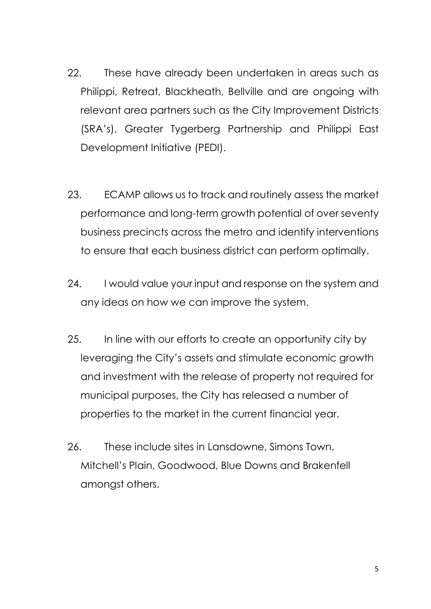- 22. These have already been undertaken in areas such as Philippi, Retreat, Blackheath, Bellville and are ongoing with relevant area partners such as the City Improvement Districts (SRA's), Greater Tygerberg Partnership and Philippi East Development Initiative (PEDI).
- 23. ECAMP allows us to track and routinely assess the market performance and long-term growth potential of over seventy business precincts across the metro and identify interventions to ensure that each business district can perform optimally.
- 24. I would value your input and response on the system and any ideas on how we can improve the system.
- 25. In line with our efforts to create an opportunity city by leveraging the City's assets and stimulate economic growth and investment with the release of property not required for municipal purposes, the City has released a number of properties to the market in the current financial year.
- 26. These include sites in Lansdowne, Simons Town, Mitchell's Plain, Goodwood, Blue Downs and Brakenfell amongst others.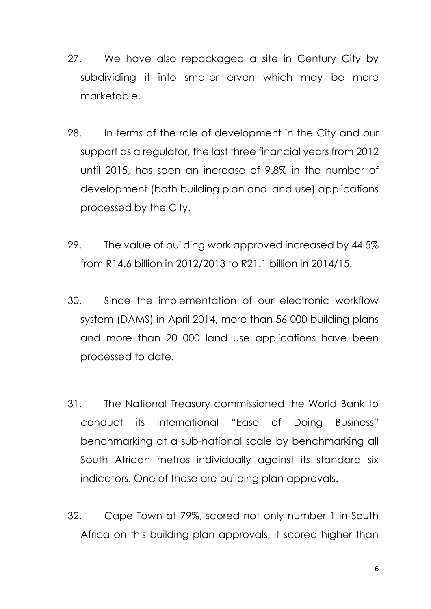- 27. We have also repackaged a site in Century City by subdividing it into smaller erven which may be more marketable.
- 28. In terms of the role of development in the City and our support as a regulator, the last three financial years from 2012 until 2015, has seen an increase of 9.8% in the number of development (both building plan and land use) applications processed by the City.
- 29. The value of building work approved increased by 44.5% from R14.6 billion in 2012/2013 to R21.1 billion in 2014/15.
- 30. Since the implementation of our electronic workflow system (DAMS) in April 2014, more than 56 000 building plans and more than 20 000 land use applications have been processed to date.
- 31. The National Treasury commissioned the World Bank to conduct its international "Ease of Doing Business" benchmarking at a sub-national scale by benchmarking all South African metros individually against its standard six indicators. One of these are building plan approvals.
- 32. Cape Town at 79%, scored not only number 1 in South Africa on this building plan approvals, it scored higher than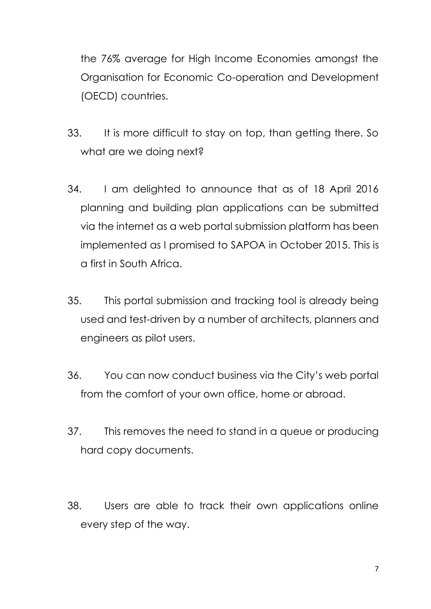the 76% average for High Income Economies amongst the Organisation for Economic Co-operation and Development (OECD) countries.

- 33. It is more difficult to stay on top, than getting there. So what are we doing next?
- 34. I am delighted to announce that as of 18 April 2016 planning and building plan applications can be submitted via the internet as a web portal submission platform has been implemented as I promised to SAPOA in October 2015. This is a first in South Africa.
- 35. This portal submission and tracking tool is already being used and test-driven by a number of architects, planners and engineers as pilot users.
- 36. You can now conduct business via the City's web portal from the comfort of your own office, home or abroad.
- 37. This removes the need to stand in a queue or producing hard copy documents.
- 38. Users are able to track their own applications online every step of the way.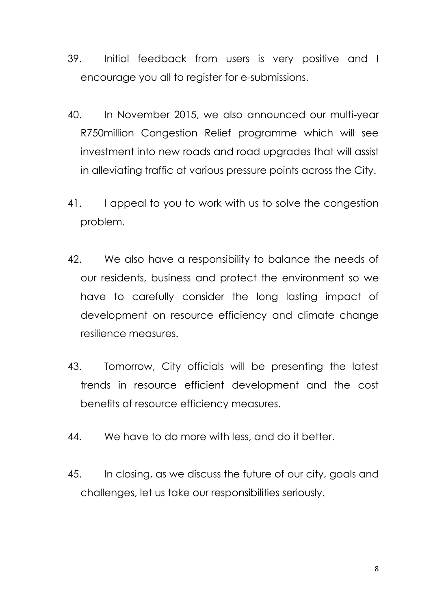- 39. Initial feedback from users is very positive and I encourage you all to register for e-submissions.
- 40. In November 2015, we also announced our multi-year R750million Congestion Relief programme which will see investment into new roads and road upgrades that will assist in alleviating traffic at various pressure points across the City.
- 41. I appeal to you to work with us to solve the congestion problem.
- 42. We also have a responsibility to balance the needs of our residents, business and protect the environment so we have to carefully consider the long lasting impact of development on resource efficiency and climate change resilience measures.
- 43. Tomorrow, City officials will be presenting the latest trends in resource efficient development and the cost benefits of resource efficiency measures.
- 44. We have to do more with less, and do it better.
- 45. In closing, as we discuss the future of our city, goals and challenges, let us take our responsibilities seriously.